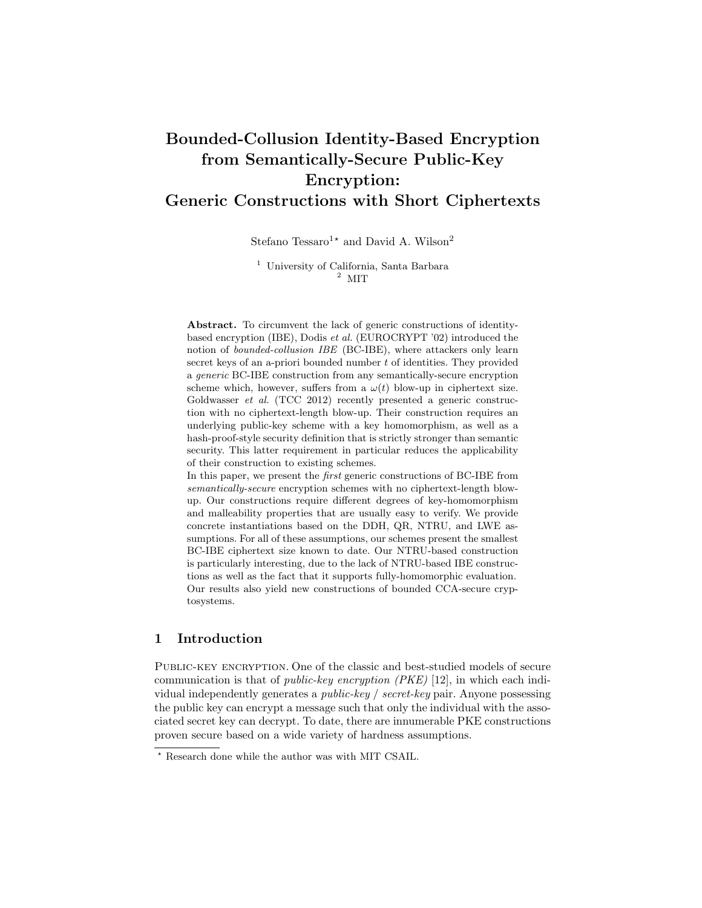# **Bounded-Collusion Identity-Based Encryption from Semantically-Secure Public-Key Encryption: Generic Constructions with Short Ciphertexts**

Stefano Tessaro<sup>1</sup><sup>\*</sup> and David A. Wilson<sup>2</sup>

<sup>1</sup> University of California, Santa Barbara <sup>2</sup> MIT

**Abstract.** To circumvent the lack of generic constructions of identitybased encryption (IBE), Dodis *et al.* (EUROCRYPT '02) introduced the notion of *bounded-collusion IBE* (BC-IBE), where attackers only learn secret keys of an a-priori bounded number *t* of identities. They provided a *generic* BC-IBE construction from any semantically-secure encryption scheme which, however, suffers from a  $\omega(t)$  blow-up in ciphertext size. Goldwasser *et al.* (TCC 2012) recently presented a generic construction with no ciphertext-length blow-up. Their construction requires an underlying public-key scheme with a key homomorphism, as well as a hash-proof-style security definition that is strictly stronger than semantic security. This latter requirement in particular reduces the applicability of their construction to existing schemes.

In this paper, we present the *first* generic constructions of BC-IBE from *semantically-secure* encryption schemes with no ciphertext-length blowup. Our constructions require different degrees of key-homomorphism and malleability properties that are usually easy to verify. We provide concrete instantiations based on the DDH, QR, NTRU, and LWE assumptions. For all of these assumptions, our schemes present the smallest BC-IBE ciphertext size known to date. Our NTRU-based construction is particularly interesting, due to the lack of NTRU-based IBE constructions as well as the fact that it supports fully-homomorphic evaluation. Our results also yield new constructions of bounded CCA-secure cryptosystems.

## **1 Introduction**

PUBLIC-KEY ENCRYPTION. One of the classic and best-studied models of secure communication is that of *public-key encryption (PKE)* [12], in which each individual independently generates a *public-key* / *secret-key* pair. Anyone possessing the public key can encrypt a message such that only the individual with the associated secret key can decrypt. To date, there are innumerable PKE constructions proven secure based on a wide variety of hardness assumptions.

*<sup>?</sup>* Research done while the author was with MIT CSAIL.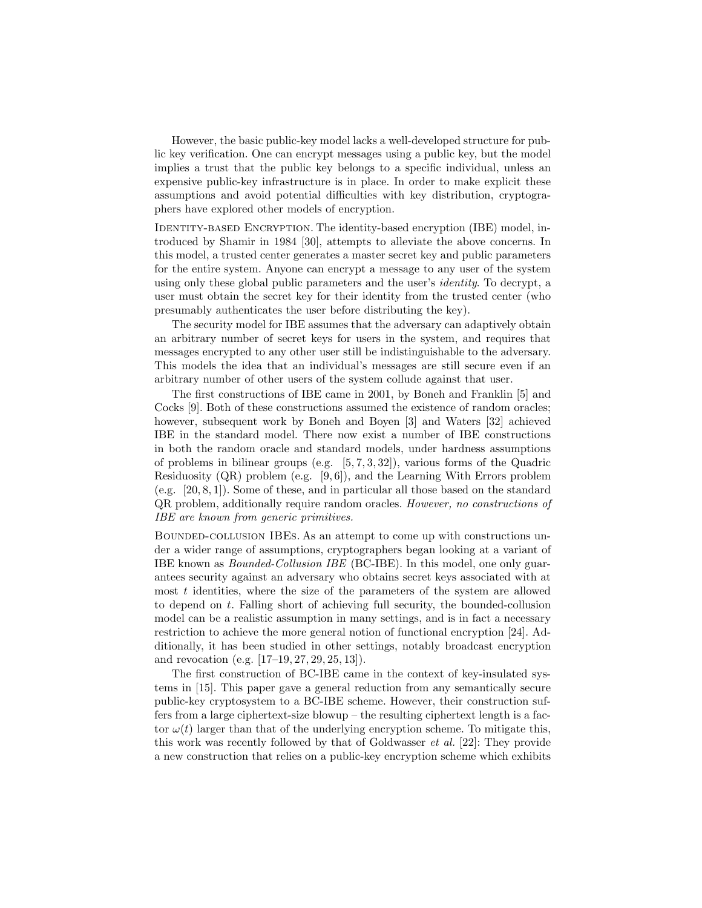However, the basic public-key model lacks a well-developed structure for public key verification. One can encrypt messages using a public key, but the model implies a trust that the public key belongs to a specific individual, unless an expensive public-key infrastructure is in place. In order to make explicit these assumptions and avoid potential difficulties with key distribution, cryptographers have explored other models of encryption.

Identity-based Encryption. The identity-based encryption (IBE) model, introduced by Shamir in 1984 [30], attempts to alleviate the above concerns. In this model, a trusted center generates a master secret key and public parameters for the entire system. Anyone can encrypt a message to any user of the system using only these global public parameters and the user's *identity*. To decrypt, a user must obtain the secret key for their identity from the trusted center (who presumably authenticates the user before distributing the key).

The security model for IBE assumes that the adversary can adaptively obtain an arbitrary number of secret keys for users in the system, and requires that messages encrypted to any other user still be indistinguishable to the adversary. This models the idea that an individual's messages are still secure even if an arbitrary number of other users of the system collude against that user.

The first constructions of IBE came in 2001, by Boneh and Franklin [5] and Cocks [9]. Both of these constructions assumed the existence of random oracles; however, subsequent work by Boneh and Boyen [3] and Waters [32] achieved IBE in the standard model. There now exist a number of IBE constructions in both the random oracle and standard models, under hardness assumptions of problems in bilinear groups (e.g.  $[5, 7, 3, 32]$ ), various forms of the Quadric Residuosity (QR) problem (e.g. [9, 6]), and the Learning With Errors problem (e.g. [20, 8, 1]). Some of these, and in particular all those based on the standard QR problem, additionally require random oracles. *However, no constructions of IBE are known from generic primitives.*

BOUNDED-COLLUSION IBES. As an attempt to come up with constructions under a wider range of assumptions, cryptographers began looking at a variant of IBE known as *Bounded-Collusion IBE* (BC-IBE). In this model, one only guarantees security against an adversary who obtains secret keys associated with at most *t* identities, where the size of the parameters of the system are allowed to depend on *t*. Falling short of achieving full security, the bounded-collusion model can be a realistic assumption in many settings, and is in fact a necessary restriction to achieve the more general notion of functional encryption [24]. Additionally, it has been studied in other settings, notably broadcast encryption and revocation (e.g. [17–19, 27, 29, 25, 13]).

The first construction of BC-IBE came in the context of key-insulated systems in [15]. This paper gave a general reduction from any semantically secure public-key cryptosystem to a BC-IBE scheme. However, their construction suffers from a large ciphertext-size blowup – the resulting ciphertext length is a factor  $\omega(t)$  larger than that of the underlying encryption scheme. To mitigate this, this work was recently followed by that of Goldwasser *et al.* [22]: They provide a new construction that relies on a public-key encryption scheme which exhibits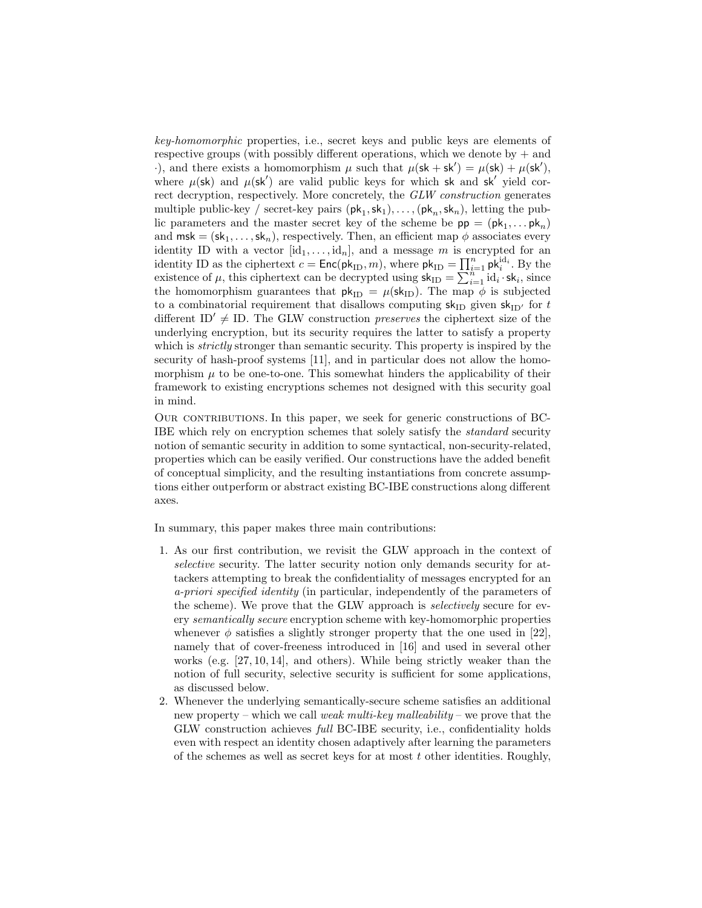*key-homomorphic* properties, i.e., secret keys and public keys are elements of respective groups (with possibly different operations, which we denote by  $+$  and *·*), and there exists a homomorphism  $\mu$  such that  $\mu$ (sk + sk') =  $\mu$ (sk) +  $\mu$ (sk'), where  $\mu$ (sk) and  $\mu$ (sk<sup>'</sup>) are valid public keys for which sk and sk<sup>'</sup> yield correct decryption, respectively. More concretely, the *GLW construction* generates multiple public-key / secret-key pairs  $(\mathsf{pk}_1, \mathsf{sk}_1), \ldots, (\mathsf{pk}_n, \mathsf{sk}_n)$ , letting the public parameters and the master secret key of the scheme be  $pp = (pk_1, \ldots pk_n)$ and  $m s k = (s k_1, \ldots, s k_n)$ , respectively. Then, an efficient map  $\phi$  associates every identity ID with a vector  $[\mathrm{id}_1, \ldots, \mathrm{id}_n]$ , and a message *m* is encrypted for an identity ID as the ciphertext  $c = \text{Enc}(\mathbf{pk}_{ID}, m)$ , where  $\mathbf{pk}_{ID} = \prod_{i=1}^{n} \mathbf{pk}_{i}^{\text{id}_{i}}$ . By the existence of  $\mu$ , this ciphertext can be decrypted using  $\mathsf{sk}_{\text{ID}} = \sum_{i=1}^{n} \mathrm{id}_i \cdot \mathsf{sk}_i$ , since the homomorphism guarantees that  $pk_{ID} = \mu (sk_{ID})$ . The map  $\phi$  is subjected to a combinatorial requirement that disallows computing  $sk_{ID}$  given  $sk_{ID'}$  for *t* different  $ID' \neq ID$ . The GLW construction *preserves* the ciphertext size of the underlying encryption, but its security requires the latter to satisfy a property which is *strictly* stronger than semantic security. This property is inspired by the security of hash-proof systems [11], and in particular does not allow the homomorphism  $\mu$  to be one-to-one. This somewhat hinders the applicability of their framework to existing encryptions schemes not designed with this security goal in mind.

Our contributions. In this paper, we seek for generic constructions of BC-IBE which rely on encryption schemes that solely satisfy the *standard* security notion of semantic security in addition to some syntactical, non-security-related, properties which can be easily verified. Our constructions have the added benefit of conceptual simplicity, and the resulting instantiations from concrete assumptions either outperform or abstract existing BC-IBE constructions along different axes.

In summary, this paper makes three main contributions:

- 1. As our first contribution, we revisit the GLW approach in the context of *selective* security. The latter security notion only demands security for attackers attempting to break the confidentiality of messages encrypted for an *a-priori specified identity* (in particular, independently of the parameters of the scheme). We prove that the GLW approach is *selectively* secure for every *semantically secure* encryption scheme with key-homomorphic properties whenever  $\phi$  satisfies a slightly stronger property that the one used in [22], namely that of cover-freeness introduced in [16] and used in several other works (e.g. [27, 10, 14], and others). While being strictly weaker than the notion of full security, selective security is sufficient for some applications, as discussed below.
- 2. Whenever the underlying semantically-secure scheme satisfies an additional new property – which we call *weak multi-key malleability* – we prove that the GLW construction achieves *full* BC-IBE security, i.e., confidentiality holds even with respect an identity chosen adaptively after learning the parameters of the schemes as well as secret keys for at most *t* other identities. Roughly,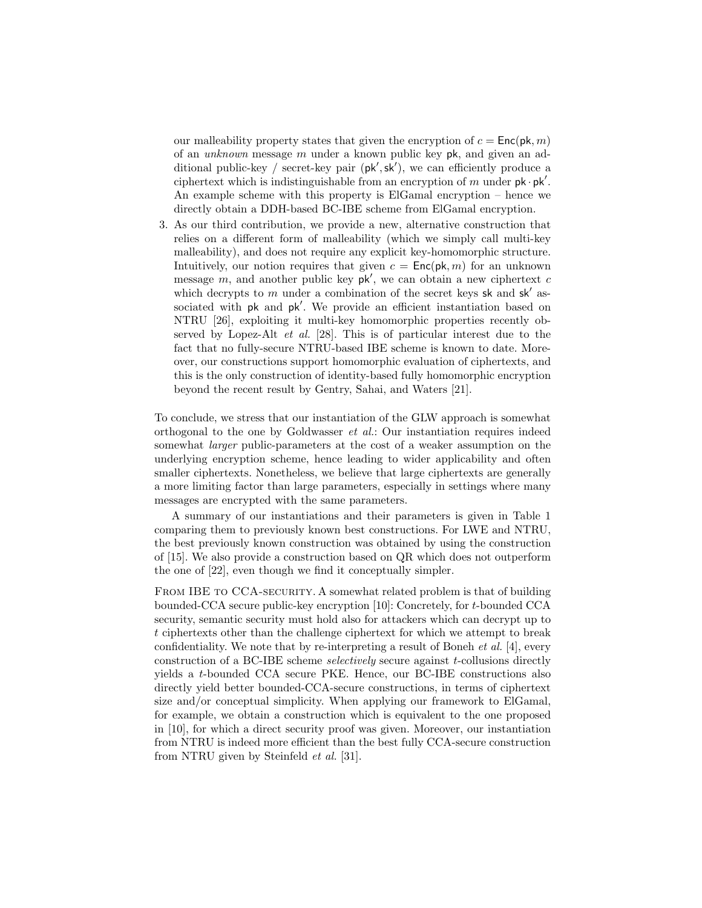our malleability property states that given the encryption of  $c = \text{Enc}(\mathsf{pk}, m)$ of an *unknown* message *m* under a known public key pk, and given an additional public-key / secret-key pair ( $pk$ ,  $sk'$ ), we can efficiently produce a ciphertext which is indistinguishable from an encryption of  $m$  under  $pk \cdot pk'$ . An example scheme with this property is ElGamal encryption – hence we directly obtain a DDH-based BC-IBE scheme from ElGamal encryption.

3. As our third contribution, we provide a new, alternative construction that relies on a different form of malleability (which we simply call multi-key malleability), and does not require any explicit key-homomorphic structure. Intuitively, our notion requires that given  $c = \mathsf{Enc}(\mathsf{pk}, m)$  for an unknown message  $m$ , and another public key  $pk'$ , we can obtain a new ciphertext  $c$ which decrypts to  $m$  under a combination of the secret keys sk and  $sk'$  associated with pk and pk<sup>'</sup>. We provide an efficient instantiation based on NTRU [26], exploiting it multi-key homomorphic properties recently observed by Lopez-Alt *et al.* [28]. This is of particular interest due to the fact that no fully-secure NTRU-based IBE scheme is known to date. Moreover, our constructions support homomorphic evaluation of ciphertexts, and this is the only construction of identity-based fully homomorphic encryption beyond the recent result by Gentry, Sahai, and Waters [21].

To conclude, we stress that our instantiation of the GLW approach is somewhat orthogonal to the one by Goldwasser *et al.*: Our instantiation requires indeed somewhat *larger* public-parameters at the cost of a weaker assumption on the underlying encryption scheme, hence leading to wider applicability and often smaller ciphertexts. Nonetheless, we believe that large ciphertexts are generally a more limiting factor than large parameters, especially in settings where many messages are encrypted with the same parameters.

A summary of our instantiations and their parameters is given in Table 1 comparing them to previously known best constructions. For LWE and NTRU, the best previously known construction was obtained by using the construction of [15]. We also provide a construction based on QR which does not outperform the one of [22], even though we find it conceptually simpler.

FROM IBE TO CCA-SECURITY. A somewhat related problem is that of building bounded-CCA secure public-key encryption [10]: Concretely, for *t*-bounded CCA security, semantic security must hold also for attackers which can decrypt up to *t* ciphertexts other than the challenge ciphertext for which we attempt to break confidentiality. We note that by re-interpreting a result of Boneh *et al.* [4], every construction of a BC-IBE scheme *selectively* secure against *t*-collusions directly yields a *t*-bounded CCA secure PKE. Hence, our BC-IBE constructions also directly yield better bounded-CCA-secure constructions, in terms of ciphertext size and/or conceptual simplicity. When applying our framework to ElGamal, for example, we obtain a construction which is equivalent to the one proposed in [10], for which a direct security proof was given. Moreover, our instantiation from NTRU is indeed more efficient than the best fully CCA-secure construction from NTRU given by Steinfeld *et al.* [31].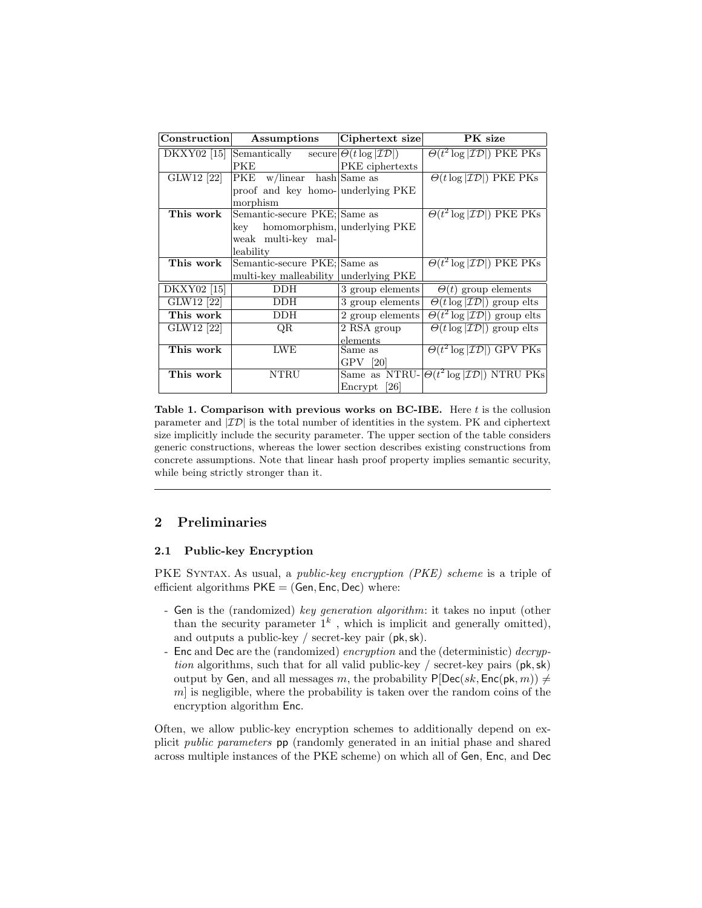| Construction          | Assumptions                                          | Ciphertext size  | PK size                                                  |
|-----------------------|------------------------------------------------------|------------------|----------------------------------------------------------|
| DKXY02 [15]           | Semantically secure $\Theta(t \log   \mathcal{ID} )$ |                  | $\Theta(t^2 \log  {\mathcal{ID}} )$ PKE PKs              |
|                       | PKE.                                                 | PKE ciphertexts  |                                                          |
| GLW12 <sup>[22]</sup> | PKE w/linear hash Same as                            |                  | $\Theta(t \log   \mathcal{ID} )$ PKE PKs                 |
|                       | proof and key homo- underlying PKE                   |                  |                                                          |
|                       | morphism                                             |                  |                                                          |
| This work             | Semantic-secure PKE; Same as                         |                  | $\Theta(t^2 \log  {\mathcal{ID}} )$ PKE PKs              |
|                       | homomorphism, underlying PKE<br>kev                  |                  |                                                          |
|                       | weak multi-key mal-                                  |                  |                                                          |
|                       | leability                                            |                  |                                                          |
| This work             | Semantic-secure PKE; Same as                         |                  | $\Theta(t^2 \log  {\mathcal{ID}} )$ PKE PKs              |
|                       | multi-key malleability underlying PKE                |                  |                                                          |
| DKXY02 [15]           | <b>DDH</b>                                           | 3 group elements | $\Theta(t)$ group elements                               |
| GLW12 [22]            | DDH                                                  | 3 group elements | $\Theta(t \log  I\mathcal{D} )$ group elts               |
| This work             | DDH.                                                 | 2 group elements | $\overline{\Theta(t^2 \log   \mathcal{ID} )}$ group elts |
| GLW12 [22]            | QR                                                   | 2 RSA group      | $\Theta(t \log  I\mathcal{D} )$ group elts               |
|                       |                                                      | elements         |                                                          |
| This work             | <b>LWE</b>                                           | Same as          | $\Theta(t^2 \log   \mathcal{ID} )$ GPV PKs               |
|                       |                                                      | GPV [20]         |                                                          |
| This work             | <b>NTRU</b>                                          | Same as NTRU-    | $\Theta(t^2 \log   \mathcal{ID} )$ NTRU PKs              |
|                       |                                                      | [26]<br>Encrypt  |                                                          |

**Table 1. Comparison with previous works on BC-IBE.** Here *t* is the collusion parameter and *|ID|* is the total number of identities in the system. PK and ciphertext size implicitly include the security parameter. The upper section of the table considers generic constructions, whereas the lower section describes existing constructions from concrete assumptions. Note that linear hash proof property implies semantic security, while being strictly stronger than it.

# **2 Preliminaries**

## **2.1 Public-key Encryption**

PKE Syntax. As usual, a *public-key encryption (PKE) scheme* is a triple of efficient algorithms PKE = (Gen*,* Enc*,* Dec) where:

- Gen is the (randomized) *key generation algorithm*: it takes no input (other than the security parameter  $1^k$ , which is implicit and generally omitted), and outputs a public-key / secret-key pair (pk*,*sk).
- Enc and Dec are the (randomized) *encryption* and the (deterministic) *decryption* algorithms, such that for all valid public-key / secret-key pairs (pk*,*sk) output by Gen, and all messages m, the probability  $P[Dec(sk, Enc(pk, m)) \neq$ *m*] is negligible, where the probability is taken over the random coins of the encryption algorithm Enc.

Often, we allow public-key encryption schemes to additionally depend on explicit *public parameters* pp (randomly generated in an initial phase and shared across multiple instances of the PKE scheme) on which all of Gen, Enc, and Dec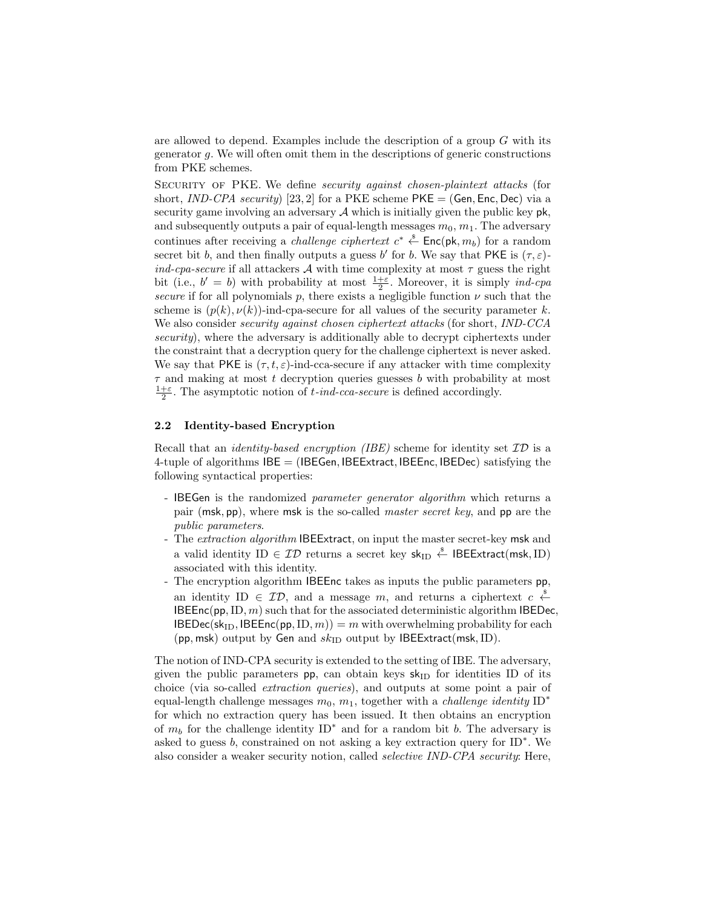are allowed to depend. Examples include the description of a group *G* with its generator *g*. We will often omit them in the descriptions of generic constructions from PKE schemes.

Security of PKE. We define *security against chosen-plaintext attacks* (for short, *IND-CPA security*) [23, 2] for a PKE scheme PKE = (Gen*,* Enc*,* Dec) via a security game involving an adversary  $A$  which is initially given the public key  $pk$ , and subsequently outputs a pair of equal-length messages  $m_0$ ,  $m_1$ . The adversary continues after receiving a *challenge ciphertext*  $c^* \stackrel{\$}{\leftarrow} \text{Enc}(\text{pk}, m_b)$  for a random secret bit *b*, and then finally outputs a guess *b'* for *b*. We say that PKE is  $(\tau, \varepsilon)$ *ind-cpa-secure* if all attackers  $\mathcal A$  with time complexity at most  $\tau$  guess the right bit (i.e.,  $b' = b$ ) with probability at most  $\frac{1+\varepsilon}{2}$ . Moreover, it is simply *ind-cpa secure* if for all polynomials  $p$ , there exists a negligible function  $\nu$  such that the scheme is  $(p(k), \nu(k))$ -ind-cpa-secure for all values of the security parameter k. We also consider *security against chosen ciphertext attacks* (for short, *IND-CCA security*), where the adversary is additionally able to decrypt ciphertexts under the constraint that a decryption query for the challenge ciphertext is never asked. We say that PKE is  $(\tau, t, \varepsilon)$ -ind-cca-secure if any attacker with time complexity *τ* and making at most *t* decryption queries guesses *b* with probability at most  $\frac{1+\varepsilon}{2}$ . The asymptotic notion of *t-ind-cca-secure* is defined accordingly.

#### **2.2 Identity-based Encryption**

Recall that an *identity-based encryption (IBE)* scheme for identity set *ID* is a 4-tuple of algorithms IBE = (IBEGen*,* IBEExtract*,* IBEEnc*,* IBEDec) satisfying the following syntactical properties:

- IBEGen is the randomized *parameter generator algorithm* which returns a pair (msk*,* pp), where msk is the so-called *master secret key*, and pp are the *public parameters*.
- The *extraction algorithm* IBEExtract, on input the master secret-key msk and a valid identity ID *∈ ID* returns a secret key skID \$*←* IBEExtract(msk*,*ID) associated with this identity.
- The encryption algorithm IBEEnc takes as inputs the public parameters pp, an identity ID  $\in \mathcal{ID}$ , and a message *m*, and returns a ciphertext  $c \stackrel{\$}{\leftarrow}$ IBEEnc(pp*,*ID*, m*) such that for the associated deterministic algorithm IBEDec,  $IBEDec(\text{sk}_{ID}, IBEEnc(pp, ID, m)) = m$  with overwhelming probability for each (pp*,* msk) output by Gen and *sk*ID output by IBEExtract(msk*,*ID).

The notion of IND-CPA security is extended to the setting of IBE. The adversary, given the public parameters pp, can obtain keys  $sk_{ID}$  for identities ID of its choice (via so-called *extraction queries*), and outputs at some point a pair of equal-length challenge messages  $m_0$ ,  $m_1$ , together with a *challenge identity* ID<sup>\*</sup> for which no extraction query has been issued. It then obtains an encryption of  $m_b$  for the challenge identity  $ID^*$  and for a random bit *b*. The adversary is asked to guess *b*, constrained on not asking a key extraction query for ID*<sup>∗</sup>* . We also consider a weaker security notion, called *selective IND-CPA security*: Here,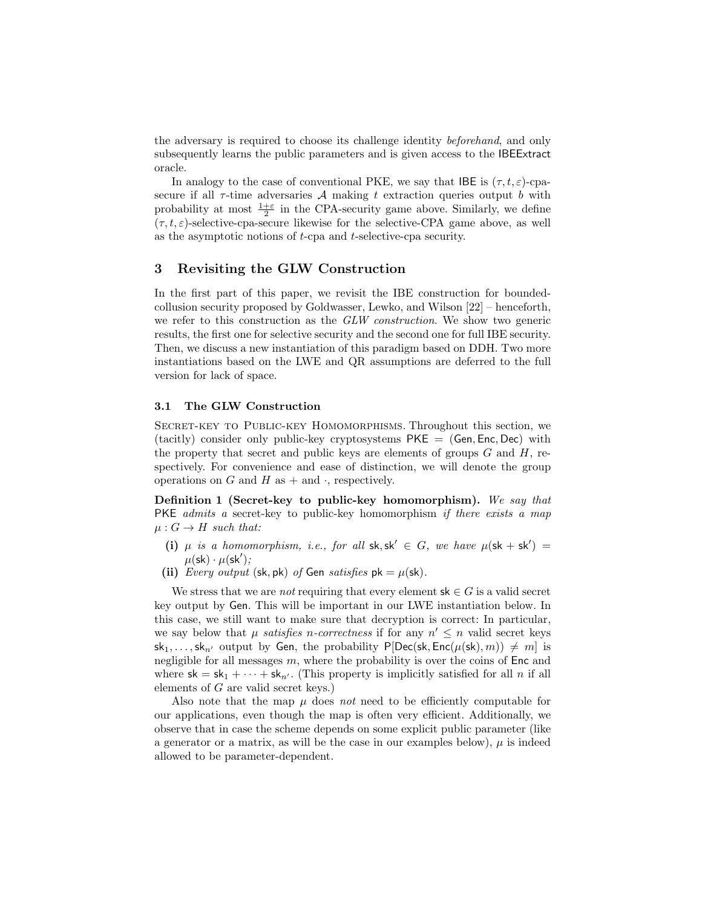the adversary is required to choose its challenge identity *beforehand*, and only subsequently learns the public parameters and is given access to the IBEExtract oracle.

In analogy to the case of conventional PKE, we say that IBE is  $(\tau, t, \varepsilon)$ -cpasecure if all  $\tau$ -time adversaries  $\mathcal A$  making  $t$  extraction queries output  $b$  with probability at most  $\frac{1+\varepsilon}{2}$  in the CPA-security game above. Similarly, we define  $(\tau, t, \varepsilon)$ -selective-cpa-secure likewise for the selective-CPA game above, as well as the asymptotic notions of *t*-cpa and *t*-selective-cpa security.

# **3 Revisiting the GLW Construction**

In the first part of this paper, we revisit the IBE construction for boundedcollusion security proposed by Goldwasser, Lewko, and Wilson [22] – henceforth, we refer to this construction as the *GLW construction*. We show two generic results, the first one for selective security and the second one for full IBE security. Then, we discuss a new instantiation of this paradigm based on DDH. Two more instantiations based on the LWE and QR assumptions are deferred to the full version for lack of space.

#### **3.1 The GLW Construction**

Secret-key to Public-key Homomorphisms. Throughout this section, we (tacitly) consider only public-key cryptosystems PKE = (Gen*,* Enc*,* Dec) with the property that secret and public keys are elements of groups *G* and *H*, respectively. For convenience and ease of distinction, we will denote the group operations on *G* and *H* as  $+$  and  $\cdot$ , respectively.

**Definition 1 (Secret-key to public-key homomorphism).** *We say that* PKE *admits a* secret-key to public-key homomorphism *if there exists a map*  $\mu:G\rightarrow H$   $such$   $that:$ 

- (i)  $\mu$  *is a homomorphism, i.e., for all* sk, sk'  $\in G$ *, we have*  $\mu$ (sk + sk') =  $\mu(\mathsf{sk}) \cdot \mu(\mathsf{sk}'),$
- (ii) *Every output* (sk, pk) *of* Gen *satisfies*  $pk = \mu$ (sk).

We stress that we are *not* requiring that every element  $sk \in G$  is a valid secret key output by Gen. This will be important in our LWE instantiation below. In this case, we still want to make sure that decryption is correct: In particular, we say below that  $\mu$  *satisfies n*-correctness if for any  $n' \leq n$  valid secret keys  $\mathsf{sk}_1, \ldots, \mathsf{sk}_{n'}$  output by Gen, the probability  $\mathsf{P}[\mathsf{Dec}(\mathsf{sk}, \mathsf{Enc}(\mu(\mathsf{sk}), m)) \neq m]$  is negligible for all messages *m*, where the probability is over the coins of Enc and where  $sk = sk_1 + \cdots + sk_{n'}$ . (This property is implicitly satisfied for all *n* if all elements of *G* are valid secret keys.)

Also note that the map  $\mu$  does *not* need to be efficiently computable for our applications, even though the map is often very efficient. Additionally, we observe that in case the scheme depends on some explicit public parameter (like a generator or a matrix, as will be the case in our examples below),  $\mu$  is indeed allowed to be parameter-dependent.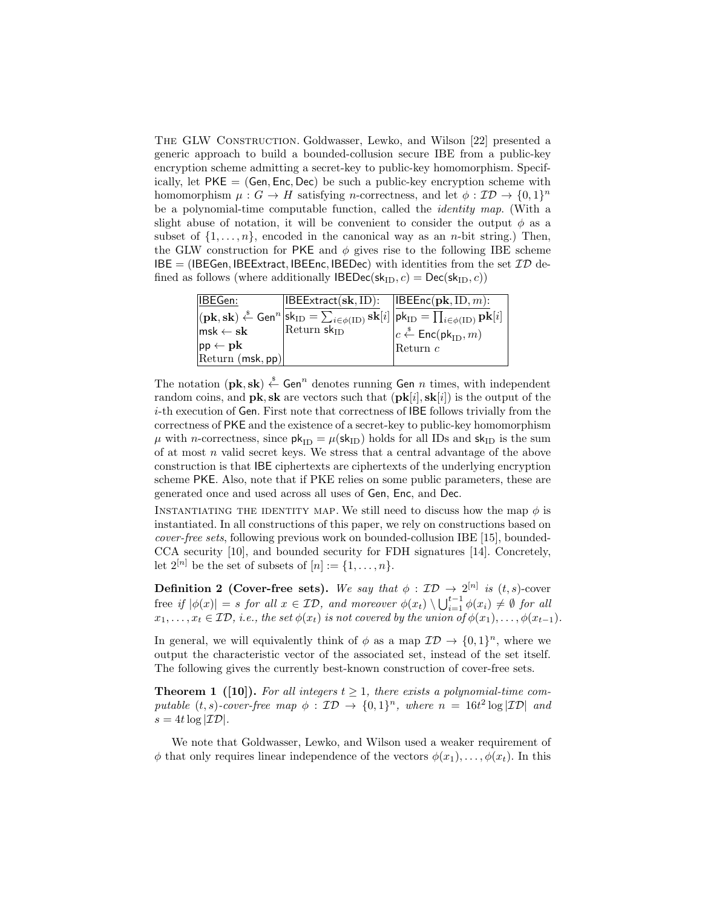THE GLW CONSTRUCTION. Goldwasser, Lewko, and Wilson [22] presented a generic approach to build a bounded-collusion secure IBE from a public-key encryption scheme admitting a secret-key to public-key homomorphism. Specifically, let PKE = (Gen*,* Enc*,* Dec) be such a public-key encryption scheme with homomorphism  $\mu: G \to H$  satisfying *n*-correctness, and let  $\phi: \mathcal{ID} \to \{0,1\}^n$ be a polynomial-time computable function, called the *identity map*. (With a slight abuse of notation, it will be convenient to consider the output  $\phi$  as a subset of  $\{1, \ldots, n\}$ , encoded in the canonical way as an *n*-bit string.) Then, the GLW construction for PKE and  $\phi$  gives rise to the following IBE scheme IBE = (IBEGen*,* IBEExtract*,* IBEEnc*,* IBEDec) with identities from the set *ID* defined as follows (where additionally  $\mathsf{IBEDec}(\mathsf{sk}_{\mathrm{ID}}, c) = \mathsf{Dec}(\mathsf{sk}_{\mathrm{ID}}, c)$ )

| IBEGen:                                | $\vert$ IBEExtract(sk, ID): $\vert$ IBEEnc(pk, ID, m):                                                                                                                                                                                                         |                                                                                                                  |
|----------------------------------------|----------------------------------------------------------------------------------------------------------------------------------------------------------------------------------------------------------------------------------------------------------------|------------------------------------------------------------------------------------------------------------------|
|                                        | $ (\mathbf{pk},\mathbf{sk}) \overset{\hspace{0.1em}\mathsf{\scriptscriptstyle\$}}{\leftarrow} \mathsf{Gen}^n\big \mathsf{sk}_{\text{ID}} = \sum_{i\in\phi(\text{ID})}\mathbf{sk}[i]\,\big \mathsf{pk}_{\text{ID}} = \prod_{i\in\phi(\text{ID})}\mathbf{pk}[i]$ |                                                                                                                  |
| $\mathsf{msk} \leftarrow \mathbf{sk}$  | $\left  \text{Return sk}_{ID} \right $                                                                                                                                                                                                                         | $ c \stackrel{\hspace{0.1em}\mathsf{\scriptscriptstyle\$}}{\leftarrow} \mathsf{Enc}(\mathsf{pk}_{\text{ID}},m) $ |
| $\mathsf{pp} \leftarrow \mathbf{pk}$   |                                                                                                                                                                                                                                                                | Return $c$                                                                                                       |
| $\left \text{Return (msk, pp)}\right $ |                                                                                                                                                                                                                                                                |                                                                                                                  |

The notation  $(\mathbf{pk}, \mathbf{sk}) \stackrel{\hspace{0.1em}\mathsf{\scriptscriptstyle\$}}{\leftarrow} \mathsf{Gen}^n$  denotes running Gen *n* times, with independent random coins, and **pk***,* **sk** are vectors such that (**pk**[*i*]*,* **sk**[*i*]) is the output of the *i*-th execution of Gen. First note that correctness of IBE follows trivially from the correctness of PKE and the existence of a secret-key to public-key homomorphism  $\mu$  with *n*-correctness, since  $pk_{ID} = \mu(sk_{ID})$  holds for all IDs and  $sk_{ID}$  is the sum of at most *n* valid secret keys. We stress that a central advantage of the above construction is that IBE ciphertexts are ciphertexts of the underlying encryption scheme PKE. Also, note that if PKE relies on some public parameters, these are generated once and used across all uses of Gen, Enc, and Dec.

INSTANTIATING THE IDENTITY MAP. We still need to discuss how the map  $\phi$  is instantiated. In all constructions of this paper, we rely on constructions based on *cover-free sets*, following previous work on bounded-collusion IBE [15], bounded-CCA security [10], and bounded security for FDH signatures [14]. Concretely, let  $2^{[n]}$  be the set of subsets of  $[n] := \{1, \ldots, n\}.$ 

**Definition 2** (Cover-free sets). We say that  $\phi : \mathcal{ID} \to 2^{[n]}$  is  $(t, s)$ -cover free if  $|\phi(x)| = s$  for all  $x \in \mathcal{ID}$ , and moreover  $\phi(x_t) \setminus \bigcup_{i=1}^{t-1} \phi(x_i) \neq \emptyset$  for all  $x_1, \ldots, x_t \in \mathcal{ID}, i.e.,$  the set  $\phi(x_t)$  is not covered by the union of  $\phi(x_1), \ldots, \phi(x_{t-1})$ .

In general, we will equivalently think of  $\phi$  as a map  $\mathcal{ID} \to \{0,1\}^n$ , where we output the characteristic vector of the associated set, instead of the set itself. The following gives the currently best-known construction of cover-free sets.

**Theorem 1** ([10]). For all integers  $t \geq 1$ , there exists a polynomial-time com*putable*  $(t, s)$ -cover-free map  $\phi : \mathcal{ID} \to \{0, 1\}^n$ , where  $n = 16t^2 \log |\mathcal{ID}|$  and  $s = 4t \log |D|$ .

We note that Goldwasser, Lewko, and Wilson used a weaker requirement of  $\phi$  that only requires linear independence of the vectors  $\phi(x_1), \ldots, \phi(x_t)$ . In this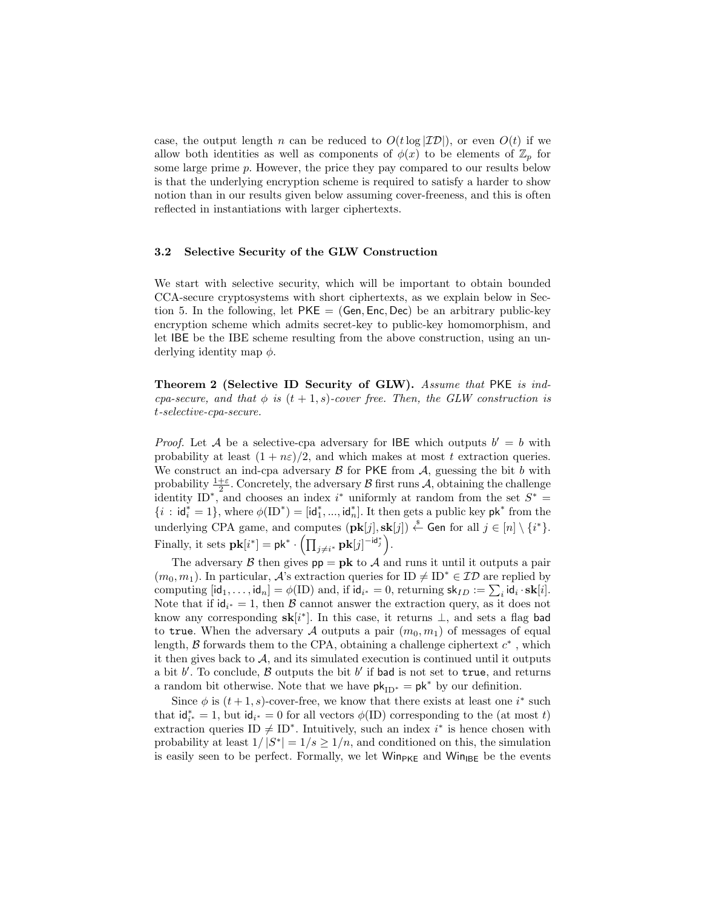case, the output length *n* can be reduced to  $O(t \log |\mathcal{ID}|)$ , or even  $O(t)$  if we allow both identities as well as components of  $\phi(x)$  to be elements of  $\mathbb{Z}_p$  for some large prime *p*. However, the price they pay compared to our results below is that the underlying encryption scheme is required to satisfy a harder to show notion than in our results given below assuming cover-freeness, and this is often reflected in instantiations with larger ciphertexts.

#### **3.2 Selective Security of the GLW Construction**

We start with selective security, which will be important to obtain bounded CCA-secure cryptosystems with short ciphertexts, as we explain below in Section 5. In the following, let PKE = (Gen*,* Enc*,* Dec) be an arbitrary public-key encryption scheme which admits secret-key to public-key homomorphism, and let IBE be the IBE scheme resulting from the above construction, using an underlying identity map *φ*.

**Theorem 2 (Selective ID Security of GLW).** *Assume that* PKE *is indcpa-secure, and that*  $\phi$  *is*  $(t + 1, s)$ *-cover free. Then, the GLW construction is t-selective-cpa-secure.*

*Proof.* Let A be a selective-cpa adversary for IBE which outputs  $b' = b$  with probability at least  $(1 + n\varepsilon)/2$ , and which makes at most *t* extraction queries. We construct an ind-cpa adversary *B* for PKE from *A*, guessing the bit *b* with probability  $\frac{1+\varepsilon}{2}$ . Concretely, the adversary *B* first runs *A*, obtaining the challenge identity ID<sup>\*</sup>, and chooses an index  $i^*$  uniformly at random from the set  $S^*$  =  ${i : id_i^* = 1}$ , where  $\phi(\text{ID}^*) = [\text{id}_1^*,...,\text{id}_n^*]$ . It then gets a public key  $\mathsf{pk}^*$  from the underlying CPA game, and computes  $(\mathbf{pk}[j], \mathbf{sk}[j]) \stackrel{\hspace{0.1em}\mathsf{\scriptscriptstyle\$}}{\leftarrow}$  Gen for all  $j \in [n] \setminus \{i^*\}.$ Finally, it sets  $\mathbf{pk}[i^*] = \mathbf{pk}^* \cdot \left( \prod_{j \neq i^*} \mathbf{pk}[j]^{-\mathsf{id}_j^*} \right).$ 

The adversary  $\beta$  then gives  $pp = pk$  to  $\lambda$  and runs it until it outputs a pair  $(m_0, m_1)$ . In particular, *A*'s extraction queries for ID  $\neq$  ID<sup>\*</sup>  $\in$  *ID* are replied by  $\text{computing } [\text{id}_1, \ldots, \text{id}_n] = \phi(\text{ID}) \text{ and, if } \text{id}_{i^*} = 0 \text{, returning } \text{sk}_{ID} := \sum_i \text{id}_i \cdot \text{sk}[i].$ Note that if  $id_{i^*} = 1$ , then *B* cannot answer the extraction query, as it does not know any corresponding **sk**[*i ∗* ]. In this case, it returns *⊥*, and sets a flag bad to true. When the adversary *A* outputs a pair  $(m_0, m_1)$  of messages of equal length,  $\beta$  forwards them to the CPA, obtaining a challenge ciphertext  $c^*$ , which it then gives back to  $\mathcal{A}$ , and its simulated execution is continued until it outputs a bit  $b'$ . To conclude,  $\beta$  outputs the bit  $b'$  if bad is not set to true, and returns a random bit otherwise. Note that we have  $pk_{ID*} = pk^*$  by our definition.

Since  $\phi$  is  $(t+1, s)$ -cover-free, we know that there exists at least one *i*<sup>\*</sup> such that  $\mathsf{id}^*_{i^*} = 1$ , but  $\mathsf{id}_{i^*} = 0$  for all vectors  $\phi(\text{ID})$  corresponding to the (at most *t*) extraction queries  $ID \neq ID^*$ . Intuitively, such an index *i*<sup>\*</sup> is hence chosen with probability at least  $1/|S^*| = 1/s \ge 1/n$ , and conditioned on this, the simulation is easily seen to be perfect. Formally, we let  $W_{\mathsf{inpKE}}$  and  $W_{\mathsf{inpEE}}$  be the events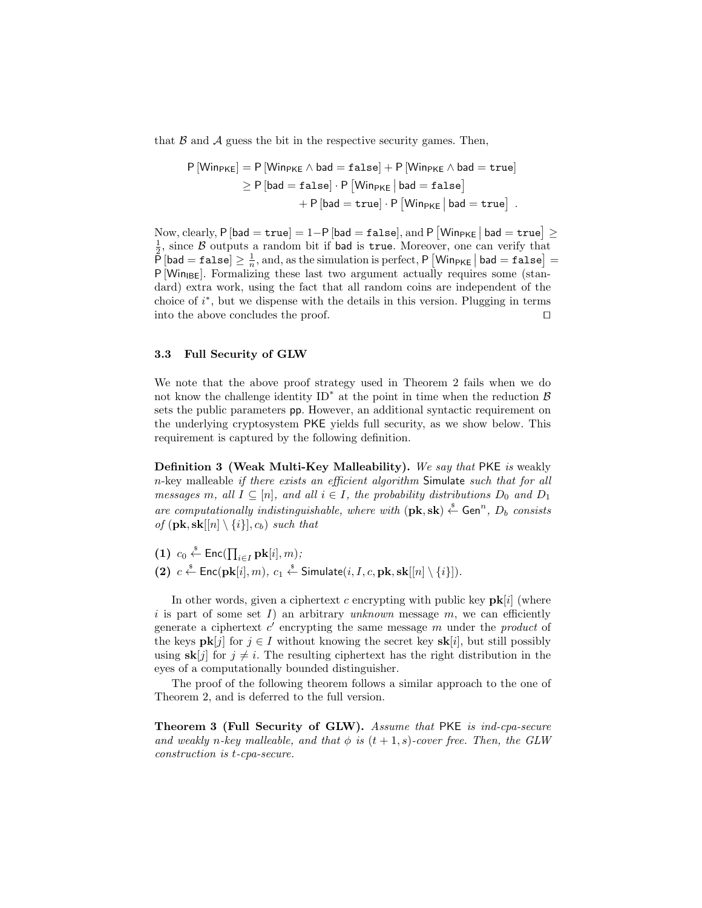that  $\beta$  and  $\lambda$  guess the bit in the respective security games. Then,

$$
P[Win_{\mathsf{PKE}}] = P[Win_{\mathsf{PKE}} \wedge bad = false] + P[Win_{\mathsf{PKE}} \wedge bad = true]
$$
  
\n
$$
\geq P[bad = false] \cdot P[Win_{\mathsf{PKE}} | bad = false]
$$
  
\n
$$
+ P[bad = true] \cdot P[Win_{\mathsf{PKE}} | bad = true]
$$
.

Now, clearly,  $P[\text{bad} = \text{true}] = 1 - P[\text{bad} = \text{false}]$ , and  $P[\text{Win}_{\text{PKE}} | \text{bad} = \text{true}] \ge$  $\frac{1}{2}$ , since *B* outputs a random bit if **bad** is **true**. Moreover, one can verify that  $\bar{P}$  [bad = false]  $\geq \frac{1}{n}$ , and, as the simulation is perfect,  $P$  [Win<sub>PKE</sub> | bad = false] =  $P$  [Win<sub>IBE</sub>]. Formalizing these last two argument actually requires some (standard) extra work, using the fact that all random coins are independent of the choice of *i ∗* , but we dispense with the details in this version. Plugging in terms into the above concludes the proof.  $\Box$ 

#### **3.3 Full Security of GLW**

We note that the above proof strategy used in Theorem 2 fails when we do not know the challenge identity ID*<sup>∗</sup>* at the point in time when the reduction *B* sets the public parameters pp. However, an additional syntactic requirement on the underlying cryptosystem PKE yields full security, as we show below. This requirement is captured by the following definition.

**Definition 3 (Weak Multi-Key Malleability).** *We say that* PKE *is* weakly *n*-key malleable *if there exists an efficient algorithm* Simulate *such that for all messages m*, all  $I \subseteq [n]$ , and all  $i \in I$ , the probability distributions  $D_0$  and  $D_1$ *are computationally indistinguishable, where with*  $(\mathbf{pk}, \mathbf{sk}) \overset{\hspace{0.1em}\mathsf{\scriptscriptstyle\$}}{\leftarrow} \mathsf{Gen}^n$ ,  $D_b$  *consists of*  $(\mathbf{pk}, \mathbf{sk}[[n] \setminus \{i\}], c_b)$  *such that* 

- **(1)**  $c_0$   $\xleftarrow{\$}$  Enc( $\prod_{i \in I}$ **pk**[*i*]*, m*)*;*
- $(2)$   $c \stackrel{\$}{\leftarrow}$  Enc $(\mathbf{pk}[i], m)$ *,*  $c_1 \stackrel{\$}{\leftarrow}$  Simulate $(i, I, c, \mathbf{pk}, \mathbf{sk}[[n] \setminus \{i\}])$ *.*

In other words, given a ciphertext *c* encrypting with public key **pk**[*i*] (where *i* is part of some set *I*) an arbitrary *unknown* message  $m$ , we can efficiently generate a ciphertext  $c'$  encrypting the same message  $m$  under the *product* of the keys  $\mathbf{pk}[i]$  for  $j \in I$  without knowing the secret key  $\mathbf{sk}[i]$ , but still possibly using  $s\mathbf{k}[j]$  for  $j \neq i$ . The resulting ciphertext has the right distribution in the eyes of a computationally bounded distinguisher.

The proof of the following theorem follows a similar approach to the one of Theorem 2, and is deferred to the full version.

**Theorem 3 (Full Security of GLW).** *Assume that* PKE *is ind-cpa-secure and weakly n*-key malleable, and that  $\phi$  *is*  $(t + 1, s)$ -cover free. Then, the GLW *construction is t-cpa-secure.*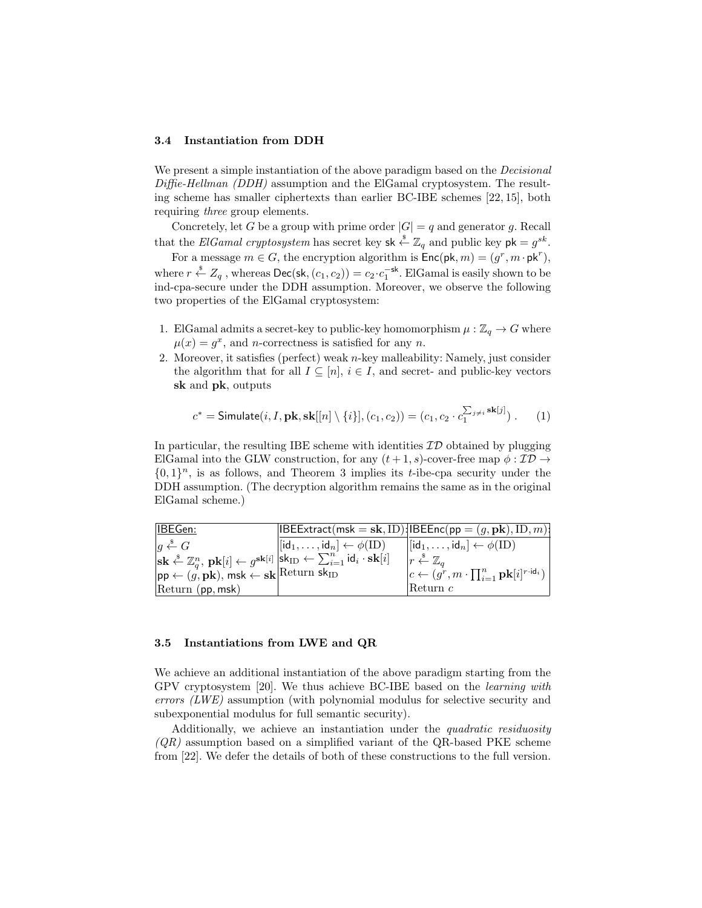#### **3.4 Instantiation from DDH**

We present a simple instantiation of the above paradigm based on the *Decisional Diffie-Hellman (DDH)* assumption and the ElGamal cryptosystem. The resulting scheme has smaller ciphertexts than earlier BC-IBE schemes [22, 15], both requiring *three* group elements.

Concretely, let *G* be a group with prime order  $|G| = q$  and generator *g*. Recall that the *ElGamal cryptosystem* has secret key  $sk \stackrel{\$}{\leftarrow} \mathbb{Z}_q$  and public key  $pk = g^{sk}$ .

For a message  $m \in G$ , the encryption algorithm is  $Enc(\mathsf{pk}, m) = (g^r, m \cdot \mathsf{pk}^r)$ , where  $r \stackrel{\$}{\leftarrow} Z_q$ , whereas  $\mathsf{Dec}(\mathsf{sk},(c_1,c_2)) = c_2 \cdot c_1^{-\mathsf{sk}}$ . ElGamal is easily shown to be ind-cpa-secure under the DDH assumption. Moreover, we observe the following two properties of the ElGamal cryptosystem:

- 1. ElGamal admits a secret-key to public-key homomorphism  $\mu : \mathbb{Z}_q \to G$  where  $\mu(x) = g^x$ , and *n*-correctness is satisfied for any *n*.
- 2. Moreover, it satisfies (perfect) weak *n*-key malleability: Namely, just consider the algorithm that for all  $I \subseteq [n], i \in I$ , and secret- and public-key vectors **sk** and **pk**, outputs

$$
c^* = \text{Simulate}(i, I, \mathbf{pk}, \mathbf{sk}[[n] \setminus \{i\}], (c_1, c_2)) = (c_1, c_2 \cdot c_1^{\sum_{j \neq i} \mathbf{sk}[j]}) . \tag{1}
$$

In particular, the resulting IBE scheme with identities *ID* obtained by plugging ElGamal into the GLW construction, for any  $(t+1, s)$ -cover-free map  $\phi : \mathcal{ID} \to$  $\{0,1\}$ <sup>n</sup>, is as follows, and Theorem 3 implies its *t*-ibe-cpa security under the DDH assumption. (The decryption algorithm remains the same as in the original ElGamal scheme.)

| IBEGen:                                                                                                                                                                                                                                                                                                                    |                                            | $\overline{ {\sf IBEExtract(msk=sk, ID) }$   $\overline{ {\sf IBEEnc(pp=(g, pk), ID, m)} }$ |
|----------------------------------------------------------------------------------------------------------------------------------------------------------------------------------------------------------------------------------------------------------------------------------------------------------------------------|--------------------------------------------|---------------------------------------------------------------------------------------------|
| $ g \stackrel{\hspace{0.1em}\mathsf{\scriptscriptstyle\$}}{\leftarrow} G$                                                                                                                                                                                                                                                  | $[id_1, \ldots, id_n] \leftarrow \phi(ID)$ | $[[id_1,\ldots, id_n] \leftarrow \phi(ID)$                                                  |
| $\big \mathbf{sk} \stackrel{\hspace{0.1em}\mathsf{\scriptscriptstyle\$}}{\leftarrow} \mathbb{Z}_q^n, \, \mathbf{pk}[i] \leftarrow g^{\mathbf{sk}[i]} \big \mathbf{\overset{\hspace{0.1em}\mathsf{\scriptscriptstyle\$}}{\leftarrow}} \mathbf{kk}_{\mathrm{ID}} \leftarrow \sum_{i=1}^n \mathsf{id}_i \cdot \mathbf{sk}[i]$ |                                            | $r \stackrel{\hspace{0.1em}\mathsf{\scriptscriptstyle\$}}{\leftarrow} \mathbb{Z}_a$         |
| $ {\sf pp} \leftarrow (\hat{g}, {\sf pk}), \, {\sf msk} \leftarrow {\sf sk}  {\rm Return} \, {\sf sk}_{\rm ID} \rangle$                                                                                                                                                                                                    |                                            | $ c \leftarrow (g^r, m \cdot \prod_{i=1}^n \mathbf{pk}[i]^{r \cdot \mathsf{id}_i})$         |
| [Return (pp, msk)]                                                                                                                                                                                                                                                                                                         |                                            | $\left \text{Return } c\right $                                                             |

#### **3.5 Instantiations from LWE and QR**

We achieve an additional instantiation of the above paradigm starting from the GPV cryptosystem [20]. We thus achieve BC-IBE based on the *learning with errors (LWE)* assumption (with polynomial modulus for selective security and subexponential modulus for full semantic security).

Additionally, we achieve an instantiation under the *quadratic residuosity (QR)* assumption based on a simplified variant of the QR-based PKE scheme from [22]. We defer the details of both of these constructions to the full version.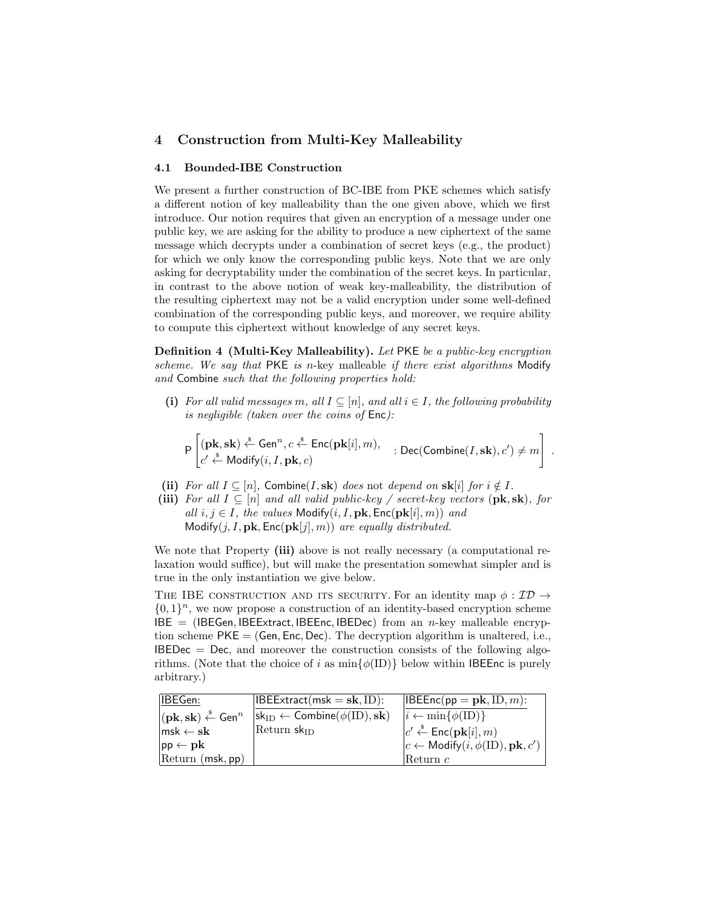# **4 Construction from Multi-Key Malleability**

### **4.1 Bounded-IBE Construction**

We present a further construction of BC-IBE from PKE schemes which satisfy a different notion of key malleability than the one given above, which we first introduce. Our notion requires that given an encryption of a message under one public key, we are asking for the ability to produce a new ciphertext of the same message which decrypts under a combination of secret keys (e.g., the product) for which we only know the corresponding public keys. Note that we are only asking for decryptability under the combination of the secret keys. In particular, in contrast to the above notion of weak key-malleability, the distribution of the resulting ciphertext may not be a valid encryption under some well-defined combination of the corresponding public keys, and moreover, we require ability to compute this ciphertext without knowledge of any secret keys.

**Definition 4 (Multi-Key Malleability).** *Let* PKE *be a public-key encryption scheme. We say that* PKE *is n*-key malleable *if there exist algorithms* Modify *and* Combine *such that the following properties hold:*

**(i)** For all valid messages m, all  $I \subseteq [n]$ , and all  $i \in I$ , the following probability *is negligible (taken over the coins of* Enc*):*

$$
\mathsf{P}\left[\begin{matrix}(\mathbf{pk},\mathbf{sk}) \overset{\hspace{0.1em}\mathsf{\scriptscriptstyle\$}}{\leftarrow} \mathsf{Gen}^n, c \overset{\hspace{0.1em}\mathsf{\scriptscriptstyle\$}}{\leftarrow} \mathsf{Enc}(\mathbf{pk}[i],m),\\c' \overset{\hspace{0.1em}\mathsf{\scriptscriptstyle\$}}{\leftarrow} \mathsf{Modify}(i,I,\mathbf{pk},c)\end{matrix}\right]\right]
$$

*.*

- (ii) *For all*  $I \subseteq [n]$ , Combine(*I*, sk) *does* not *depend on*  $\text{sk}[i]$  *for*  $i \notin I$ *.*
- **(iii)** For all  $I \subseteq [n]$  and all valid public-key / secret-key vectors  $(\mathbf{pk}, \mathbf{sk})$ , for *all i*, *j* ∈ *I, the values* Modify(*i*, *I,* **pk***,* Enc( $\mathbf{pk}$ [*i*]*, m*)) *and* Modify(*j, I,* **pk***,* Enc(**pk**[*j*]*, m*)) *are equally distributed.*

We note that Property **(iii)** above is not really necessary (a computational relaxation would suffice), but will make the presentation somewhat simpler and is true in the only instantiation we give below.

THE IBE CONSTRUCTION AND ITS SECURITY. For an identity map  $\phi : \mathcal{ID} \rightarrow$  $\{0,1\}$ <sup>n</sup>, we now propose a construction of an identity-based encryption scheme IBE = (IBEGen*,* IBEExtract*,* IBEEnc*,* IBEDec) from an *n*-key malleable encryption scheme PKE = (Gen*,* Enc*,* Dec). The decryption algorithm is unaltered, i.e.,  $lBEDec = Dec$ , and moreover the construction consists of the following algorithms. (Note that the choice of *i* as  $\min{\{\phi(\text{ID})\}}$  below within **IBEEnc** is purely arbitrary.)

| IBEGen:                                                                                                        | $ IBEExtract(msk = sk, ID):$                                                       | $\mathsf{IBEEnc}(\mathsf{pp} = \mathbf{pk}, \mathsf{ID}, m)$ :  |
|----------------------------------------------------------------------------------------------------------------|------------------------------------------------------------------------------------|-----------------------------------------------------------------|
| $ (\mathbf{pk}, \mathbf{sk}) \overset{\hspace{0.1em}\mathsf{\scriptscriptstyle\$}}{\leftarrow} \mathsf{Gen}^n$ | $ \mathsf{sk}_{\text{ID}} \leftarrow \mathsf{Combine}(\phi(\text{ID}), \text{sk})$ | $ i \leftarrow \min\{\phi(\text{ID})\}\$                        |
| $ msk \leftarrow sk$                                                                                           | $\rm{Return}$ sk <sub>ID</sub>                                                     | $c' \stackrel{\$} {\leftarrow} \mathsf{Enc}(\mathbf{pk}[i], m)$ |
| $ {\sf pp} \leftarrow {\sf pk}$                                                                                |                                                                                    | $ c \leftarrow$ Modify $(i, \phi(\text{ID}), \textbf{pk}, c')$  |
| [Return (msk, pp)]                                                                                             |                                                                                    | Return $c$                                                      |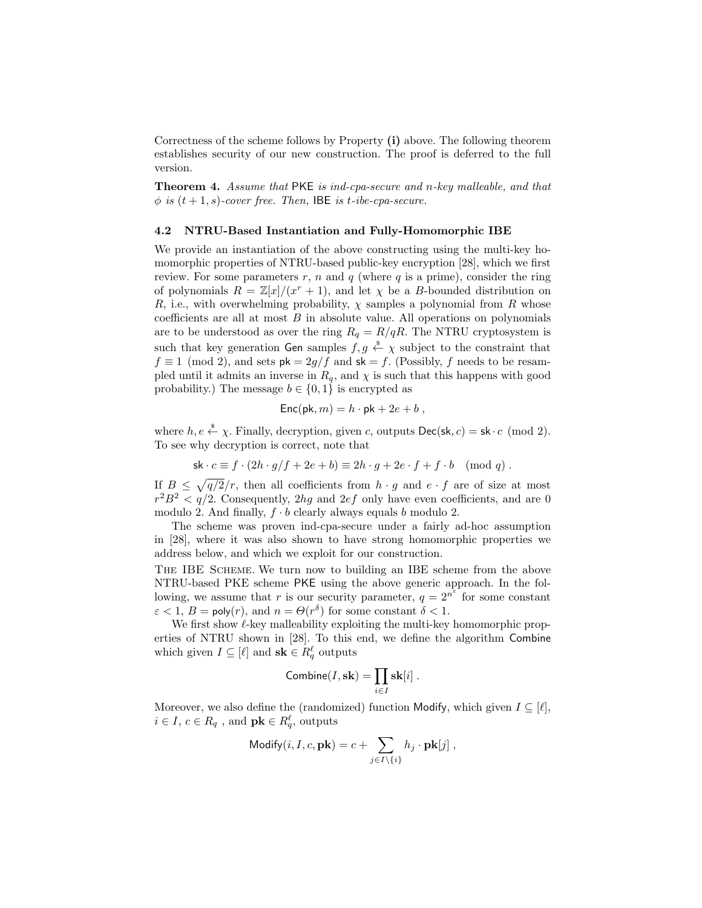Correctness of the scheme follows by Property **(i)** above. The following theorem establishes security of our new construction. The proof is deferred to the full version.

**Theorem 4.** *Assume that* PKE *is ind-cpa-secure and n-key malleable, and that*  $\phi$  *is*  $(t + 1, s)$ *-cover free. Then,* IBE *is t-ibe-cpa-secure.* 

#### **4.2 NTRU-Based Instantiation and Fully-Homomorphic IBE**

We provide an instantiation of the above constructing using the multi-key homomorphic properties of NTRU-based public-key encryption [28], which we first review. For some parameters  $r$ ,  $n$  and  $q$  (where  $q$  is a prime), consider the ring of polynomials  $R = \mathbb{Z}[x]/(x^r + 1)$ , and let  $\chi$  be a *B*-bounded distribution on *R*, i.e., with overwhelming probability,  $\chi$  samples a polynomial from *R* whose coefficients are all at most *B* in absolute value. All operations on polynomials are to be understood as over the ring  $R_q = R/qR$ . The NTRU cryptosystem is such that key generation Gen samples  $f, g \stackrel{s}{\leftarrow} \chi$  subject to the constraint that  $f \equiv 1 \pmod{2}$ , and sets  $pk = 2g/f$  and  $sk = f$ . (Possibly, *f* needs to be resampled until it admits an inverse in  $R_q$ , and  $\chi$  is such that this happens with good probability.) The message  $b \in \{0, 1\}$  is encrypted as

$$
Enc(\mathsf{pk}, m) = h \cdot \mathsf{pk} + 2e + b,
$$

where  $h, e \stackrel{\$}{\leftarrow} \chi$ . Finally, decryption, given *c*, outputs  $\textsf{Dec}(\textsf{sk}, c) = \textsf{sk} \cdot c \pmod{2}$ . To see why decryption is correct, note that

$$
\mathsf{sk} \cdot c \equiv f \cdot (2h \cdot g/f + 2e + b) \equiv 2h \cdot g + 2e \cdot f + f \cdot b \pmod{q}.
$$

If  $B \le \sqrt{\frac{q}{2}}/r$ , then all coefficients from  $h \cdot g$  and  $e \cdot f$  are of size at most  $r^2B^2$  *< q/2*. Consequently, 2*hg* and 2*ef* only have even coefficients, and are 0 modulo 2. And finally,  $f \cdot b$  clearly always equals *b* modulo 2.

The scheme was proven ind-cpa-secure under a fairly ad-hoc assumption in [28], where it was also shown to have strong homomorphic properties we address below, and which we exploit for our construction.

The IBE Scheme. We turn now to building an IBE scheme from the above NTRU-based PKE scheme PKE using the above generic approach. In the following, we assume that *r* is our security parameter,  $q = 2^{n^{\varepsilon}}$  for some constant  $\varepsilon$  < 1, *B* = poly(*r*), and  $n = \Theta(r^{\delta})$  for some constant  $\delta$  < 1.

We first show  $\ell$ -key malleability exploiting the multi-key homomorphic properties of NTRU shown in [28]. To this end, we define the algorithm Combine which given  $I \subseteq [\ell]$  and  $\mathbf{sk} \in R_q^{\ell}$  outputs

$$
Combine(I, \mathbf{sk}) = \prod_{i \in I} \mathbf{sk}[i].
$$

Moreover, we also define the (randomized) function **Modify**, which given  $I \subseteq [\ell],$  $i \in I, c \in R_q$ , and  $\mathbf{pk} \in R_q^{\ell}$ , outputs

$$
\text{Modify}(i, I, c, \mathbf{pk}) = c + \sum_{j \in I \setminus \{i\}} h_j \cdot \mathbf{pk}[j],
$$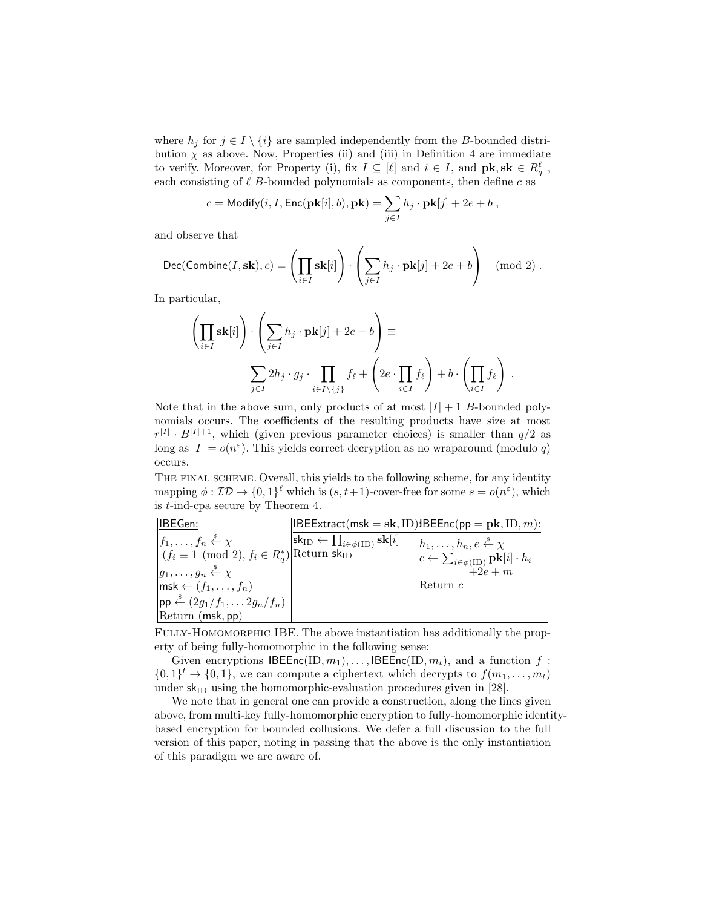where  $h_j$  for  $j \in I \setminus \{i\}$  are sampled independently from the *B*-bounded distribution  $\chi$  as above. Now, Properties (ii) and (iii) in Definition 4 are immediate to verify. Moreover, for Property (i), fix  $I \subseteq [\ell]$  and  $i \in I$ , and  $\mathbf{pk}, \mathbf{sk} \in R_q^{\ell}$ , each consisting of  $\ell$  *B*-bounded polynomials as components, then define *c* as

$$
c = \text{Modify}(i, I, \text{Enc}(\mathbf{pk}[i], b), \mathbf{pk}) = \sum_{j \in I} h_j \cdot \mathbf{pk}[j] + 2e + b,
$$

and observe that

$$
\mathsf{Dec}(\mathsf{Combine}(I, \mathbf{sk}), c) = \left(\prod_{i \in I} \mathbf{sk}[i]\right) \cdot \left(\sum_{j \in I} h_j \cdot \mathbf{pk}[j] + 2e + b\right) \pmod{2}.
$$

In particular,

$$
\left(\prod_{i\in I} \mathbf{sk}[i]\right) \cdot \left(\sum_{j\in I} h_j \cdot \mathbf{pk}[j] + 2e + b\right) \equiv
$$
\n
$$
\sum_{j\in I} 2h_j \cdot g_j \cdot \prod_{i\in I\setminus\{j\}} f_\ell + \left(2e \cdot \prod_{i\in I} f_\ell\right) + b \cdot \left(\prod_{i\in I} f_\ell\right) .
$$

Note that in the above sum, only products of at most  $|I| + 1$  *B*-bounded polynomials occurs. The coefficients of the resulting products have size at most  $r^{|I|} \cdot B^{|I|+1}$ , which (given previous parameter choices) is smaller than  $q/2$  as long as  $|I| = o(n^{\varepsilon})$ . This yields correct decryption as no wraparound (modulo *q*) occurs.

The final scheme. Overall, this yields to the following scheme, for any identity mapping  $\phi : \mathcal{ID} \to \{0,1\}^{\ell}$  which is  $(s, t+1)$ -cover-free for some  $s = o(n^{\epsilon})$ , which is *t*-ind-cpa secure by Theorem 4.

| IBEGen:                                                                                                     | $ IBEExtract(msk = sk, ID)IBEEnc(pp = pk, ID, m):$                                 |                                                                                          |
|-------------------------------------------------------------------------------------------------------------|------------------------------------------------------------------------------------|------------------------------------------------------------------------------------------|
| $ f_1,\ldots,f_n \overset{\hspace{0.1em}\mathsf{\scriptscriptstyle\$}}{\leftarrow} \chi $                   | $ \mathsf{sk}_{\text{ID}} \leftarrow \prod_{i \in \phi(\text{ID})} \mathbf{sk}[i]$ | $ h_1,\ldots,h_n,e\overset{\hspace{0.1em}\mathsf{\scriptscriptstyle\$}}{\leftarrow}\chi$ |
| $(f_i \equiv 1 \pmod{2}, f_i \in R^*_a)$ Return sk <sub>ID</sub>                                            |                                                                                    | $c \leftarrow \sum_{i \in \phi(\text{ID})} \mathbf{pk}[i] \cdot h_i$<br>+2e + m          |
| $ g_1,\ldots,g_n \stackrel{\hspace{0.1em}\mathsf{\scriptscriptstyle\$}}{\leftarrow} \chi $                  |                                                                                    |                                                                                          |
| $\mathsf{msk} \leftarrow (f_1, \ldots, f_n)$                                                                |                                                                                    | Return $c$                                                                               |
| $ {\sf pp} \stackrel{\hspace{0.1em}\mathsf{\scriptscriptstyle\$}}{\leftarrow} (2g_1/f_1, \ldots 2g_n/f_n) $ |                                                                                    |                                                                                          |
| [Return (msk, pp)                                                                                           |                                                                                    |                                                                                          |

Fully-Homomorphic IBE. The above instantiation has additionally the property of being fully-homomorphic in the following sense:

Given encryptions  $\mathsf{IBEEnc}(\mathsf{ID}, m_1), \ldots, \mathsf{IBEEnc}(\mathsf{ID}, m_t),$  and a function  $f$ :  $\{0,1\}^t \to \{0,1\}$ , we can compute a ciphertext which decrypts to  $f(m_1, \ldots, m_t)$ under  $sk_{ID}$  using the homomorphic-evaluation procedures given in [28].

We note that in general one can provide a construction, along the lines given above, from multi-key fully-homomorphic encryption to fully-homomorphic identitybased encryption for bounded collusions. We defer a full discussion to the full version of this paper, noting in passing that the above is the only instantiation of this paradigm we are aware of.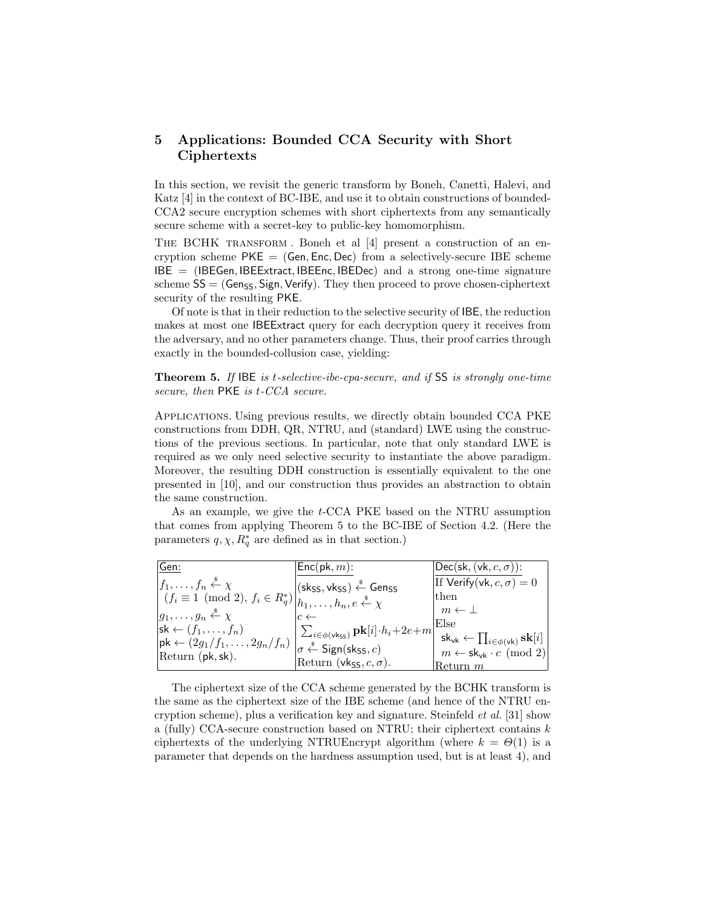# **5 Applications: Bounded CCA Security with Short Ciphertexts**

In this section, we revisit the generic transform by Boneh, Canetti, Halevi, and Katz [4] in the context of BC-IBE, and use it to obtain constructions of bounded-CCA2 secure encryption schemes with short ciphertexts from any semantically secure scheme with a secret-key to public-key homomorphism.

THE BCHK TRANSFORM. Boneh et al [4] present a construction of an encryption scheme PKE = (Gen*,* Enc*,* Dec) from a selectively-secure IBE scheme IBE = (IBEGen*,* IBEExtract*,* IBEEnc*,* IBEDec) and a strong one-time signature scheme  $SS = (Gen_{SS}, Sign, Verify)$ . They then proceed to prove chosen-ciphertext security of the resulting PKE.

Of note is that in their reduction to the selective security of IBE, the reduction makes at most one IBEExtract query for each decryption query it receives from the adversary, and no other parameters change. Thus, their proof carries through exactly in the bounded-collusion case, yielding:

**Theorem 5.** *If* IBE *is t-selective-ibe-cpa-secure, and if* SS *is strongly one-time secure, then* PKE *is t-CCA secure.*

Applications. Using previous results, we directly obtain bounded CCA PKE constructions from DDH, QR, NTRU, and (standard) LWE using the constructions of the previous sections. In particular, note that only standard LWE is required as we only need selective security to instantiate the above paradigm. Moreover, the resulting DDH construction is essentially equivalent to the one presented in [10], and our construction thus provides an abstraction to obtain the same construction.

As an example, we give the *t*-CCA PKE based on the NTRU assumption that comes from applying Theorem 5 to the BC-IBE of Section 4.2. (Here the parameters  $q, \chi, R_q^*$  are defined as in that section.)

| $\mathsf{Gen}:$                                                                                                                                   | $\mathsf{Enc}(\mathsf{pk}, m)$ :                                                                                                                                                   | $\vert$ Dec(sk, (vk, $c,\sigma$ )):                                                   |
|---------------------------------------------------------------------------------------------------------------------------------------------------|------------------------------------------------------------------------------------------------------------------------------------------------------------------------------------|---------------------------------------------------------------------------------------|
| $ f_1,\ldots,f_n \overset{\hspace{0.1em}\mathsf{\scriptscriptstyle\$}}{\leftarrow} \chi $                                                         | $\left  \left( \mathsf{sk}_{\mathsf{SS}}, \mathsf{vk}_{\mathsf{SS}} \right) \stackrel{\hspace{0.1em}\mathsf{\scriptscriptstyle\$}}{\leftarrow} \mathsf{Gen}_{\mathsf{SS}} \right $ | If Verify(vk, $c, \sigma$ ) = 0                                                       |
| $\left  \int_{0}^{1} f_{i} \equiv 1 \pmod{2}, f_{i} \in R_{q}^{*} \right  \left  \sum_{h_{1}, \ldots, h_{n}, e \leftarrow \chi_{n}}^{s} \right $  |                                                                                                                                                                                    | then                                                                                  |
| $ g_1,\ldots,g_n \stackrel{\hspace{0.1em}\mathsf{\scriptscriptstyle\$}}{\leftarrow} \chi $                                                        | $c \leftarrow$                                                                                                                                                                     | $m \leftarrow \perp$                                                                  |
| $\mathsf{sk} \leftarrow (f_1, \ldots, f_n)$                                                                                                       |                                                                                                                                                                                    | Else                                                                                  |
| $ \textsf{pk} \leftarrow (2g_1/f_1, \ldots, 2g_n/f_n)  _{\sigma \overset{\hspace{0.1em}\mathsf{\scriptscriptstyle\$}}{\leftarrow}}$ Sign(skss, c) | $ \sum_{i \in \phi(\mathsf{vkss})} \mathbf{pk}[i] \cdot h_i + 2e + m $                                                                                                             | $\mathsf{sk}_{\mathsf{vk}} \leftarrow \prod_{i \in \phi(\mathsf{vk})} \mathbf{sk}[i]$ |
| [Return (pk, sk)].                                                                                                                                |                                                                                                                                                                                    | $m \leftarrow$ sk <sub>vk</sub> · c (mod 2)                                           |
|                                                                                                                                                   | Return ( $\mathsf{vk}_{SS}, c, \sigma$ ).                                                                                                                                          | Return m                                                                              |

The ciphertext size of the CCA scheme generated by the BCHK transform is the same as the ciphertext size of the IBE scheme (and hence of the NTRU encryption scheme), plus a verification key and signature. Steinfeld *et al.* [31] show a (fully) CCA-secure construction based on NTRU; their ciphertext contains *k* ciphertexts of the underlying NTRUEncrypt algorithm (where  $k = \Theta(1)$  is a parameter that depends on the hardness assumption used, but is at least 4), and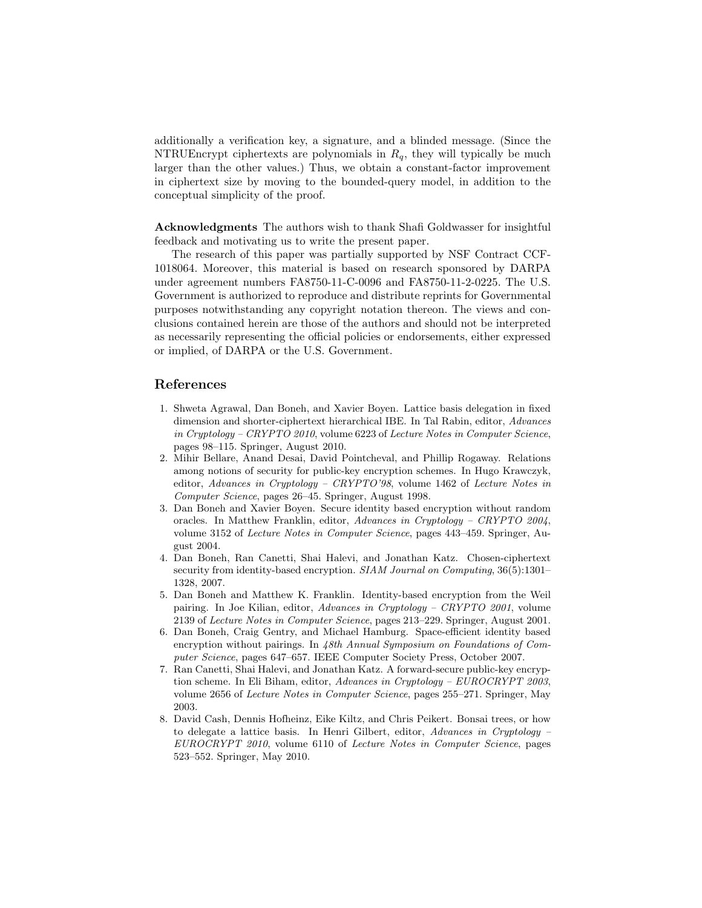additionally a verification key, a signature, and a blinded message. (Since the NTRUEncrypt ciphertexts are polynomials in  $R<sub>q</sub>$ , they will typically be much larger than the other values.) Thus, we obtain a constant-factor improvement in ciphertext size by moving to the bounded-query model, in addition to the conceptual simplicity of the proof.

**Acknowledgments** The authors wish to thank Shafi Goldwasser for insightful feedback and motivating us to write the present paper.

The research of this paper was partially supported by NSF Contract CCF-1018064. Moreover, this material is based on research sponsored by DARPA under agreement numbers FA8750-11-C-0096 and FA8750-11-2-0225. The U.S. Government is authorized to reproduce and distribute reprints for Governmental purposes notwithstanding any copyright notation thereon. The views and conclusions contained herein are those of the authors and should not be interpreted as necessarily representing the official policies or endorsements, either expressed or implied, of DARPA or the U.S. Government.

# **References**

- 1. Shweta Agrawal, Dan Boneh, and Xavier Boyen. Lattice basis delegation in fixed dimension and shorter-ciphertext hierarchical IBE. In Tal Rabin, editor, *Advances in Cryptology – CRYPTO 2010*, volume 6223 of *Lecture Notes in Computer Science*, pages 98–115. Springer, August 2010.
- 2. Mihir Bellare, Anand Desai, David Pointcheval, and Phillip Rogaway. Relations among notions of security for public-key encryption schemes. In Hugo Krawczyk, editor, *Advances in Cryptology – CRYPTO'98*, volume 1462 of *Lecture Notes in Computer Science*, pages 26–45. Springer, August 1998.
- 3. Dan Boneh and Xavier Boyen. Secure identity based encryption without random oracles. In Matthew Franklin, editor, *Advances in Cryptology – CRYPTO 2004*, volume 3152 of *Lecture Notes in Computer Science*, pages 443–459. Springer, August 2004.
- 4. Dan Boneh, Ran Canetti, Shai Halevi, and Jonathan Katz. Chosen-ciphertext security from identity-based encryption. *SIAM Journal on Computing*, 36(5):1301– 1328, 2007.
- 5. Dan Boneh and Matthew K. Franklin. Identity-based encryption from the Weil pairing. In Joe Kilian, editor, *Advances in Cryptology – CRYPTO 2001*, volume 2139 of *Lecture Notes in Computer Science*, pages 213–229. Springer, August 2001.
- 6. Dan Boneh, Craig Gentry, and Michael Hamburg. Space-efficient identity based encryption without pairings. In *48th Annual Symposium on Foundations of Computer Science*, pages 647–657. IEEE Computer Society Press, October 2007.
- 7. Ran Canetti, Shai Halevi, and Jonathan Katz. A forward-secure public-key encryption scheme. In Eli Biham, editor, *Advances in Cryptology – EUROCRYPT 2003*, volume 2656 of *Lecture Notes in Computer Science*, pages 255–271. Springer, May 2003.
- 8. David Cash, Dennis Hofheinz, Eike Kiltz, and Chris Peikert. Bonsai trees, or how to delegate a lattice basis. In Henri Gilbert, editor, *Advances in Cryptology – EUROCRYPT 2010*, volume 6110 of *Lecture Notes in Computer Science*, pages 523–552. Springer, May 2010.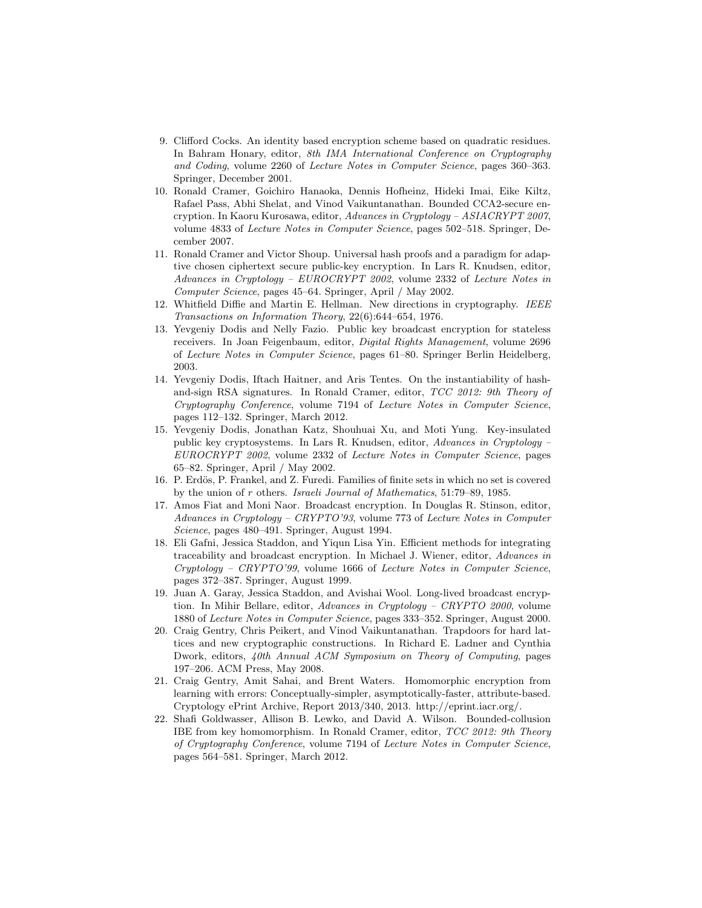- 9. Clifford Cocks. An identity based encryption scheme based on quadratic residues. In Bahram Honary, editor, *8th IMA International Conference on Cryptography and Coding*, volume 2260 of *Lecture Notes in Computer Science*, pages 360–363. Springer, December 2001.
- 10. Ronald Cramer, Goichiro Hanaoka, Dennis Hofheinz, Hideki Imai, Eike Kiltz, Rafael Pass, Abhi Shelat, and Vinod Vaikuntanathan. Bounded CCA2-secure encryption. In Kaoru Kurosawa, editor, *Advances in Cryptology – ASIACRYPT 2007*, volume 4833 of *Lecture Notes in Computer Science*, pages 502–518. Springer, December 2007.
- 11. Ronald Cramer and Victor Shoup. Universal hash proofs and a paradigm for adaptive chosen ciphertext secure public-key encryption. In Lars R. Knudsen, editor, *Advances in Cryptology – EUROCRYPT 2002*, volume 2332 of *Lecture Notes in Computer Science*, pages 45–64. Springer, April / May 2002.
- 12. Whitfield Diffie and Martin E. Hellman. New directions in cryptography. *IEEE Transactions on Information Theory*, 22(6):644–654, 1976.
- 13. Yevgeniy Dodis and Nelly Fazio. Public key broadcast encryption for stateless receivers. In Joan Feigenbaum, editor, *Digital Rights Management*, volume 2696 of *Lecture Notes in Computer Science*, pages 61–80. Springer Berlin Heidelberg, 2003.
- 14. Yevgeniy Dodis, Iftach Haitner, and Aris Tentes. On the instantiability of hashand-sign RSA signatures. In Ronald Cramer, editor, *TCC 2012: 9th Theory of Cryptography Conference*, volume 7194 of *Lecture Notes in Computer Science*, pages 112–132. Springer, March 2012.
- 15. Yevgeniy Dodis, Jonathan Katz, Shouhuai Xu, and Moti Yung. Key-insulated public key cryptosystems. In Lars R. Knudsen, editor, *Advances in Cryptology – EUROCRYPT 2002*, volume 2332 of *Lecture Notes in Computer Science*, pages 65–82. Springer, April / May 2002.
- 16. P. Erdös, P. Frankel, and Z. Furedi. Families of finite sets in which no set is covered by the union of *r* others. *Israeli Journal of Mathematics*, 51:79–89, 1985.
- 17. Amos Fiat and Moni Naor. Broadcast encryption. In Douglas R. Stinson, editor, *Advances in Cryptology – CRYPTO'93*, volume 773 of *Lecture Notes in Computer Science*, pages 480–491. Springer, August 1994.
- 18. Eli Gafni, Jessica Staddon, and Yiqun Lisa Yin. Efficient methods for integrating traceability and broadcast encryption. In Michael J. Wiener, editor, *Advances in Cryptology – CRYPTO'99*, volume 1666 of *Lecture Notes in Computer Science*, pages 372–387. Springer, August 1999.
- 19. Juan A. Garay, Jessica Staddon, and Avishai Wool. Long-lived broadcast encryption. In Mihir Bellare, editor, *Advances in Cryptology – CRYPTO 2000*, volume 1880 of *Lecture Notes in Computer Science*, pages 333–352. Springer, August 2000.
- 20. Craig Gentry, Chris Peikert, and Vinod Vaikuntanathan. Trapdoors for hard lattices and new cryptographic constructions. In Richard E. Ladner and Cynthia Dwork, editors, *40th Annual ACM Symposium on Theory of Computing*, pages 197–206. ACM Press, May 2008.
- 21. Craig Gentry, Amit Sahai, and Brent Waters. Homomorphic encryption from learning with errors: Conceptually-simpler, asymptotically-faster, attribute-based. Cryptology ePrint Archive, Report 2013/340, 2013. http://eprint.iacr.org/.
- 22. Shafi Goldwasser, Allison B. Lewko, and David A. Wilson. Bounded-collusion IBE from key homomorphism. In Ronald Cramer, editor, *TCC 2012: 9th Theory of Cryptography Conference*, volume 7194 of *Lecture Notes in Computer Science*, pages 564–581. Springer, March 2012.